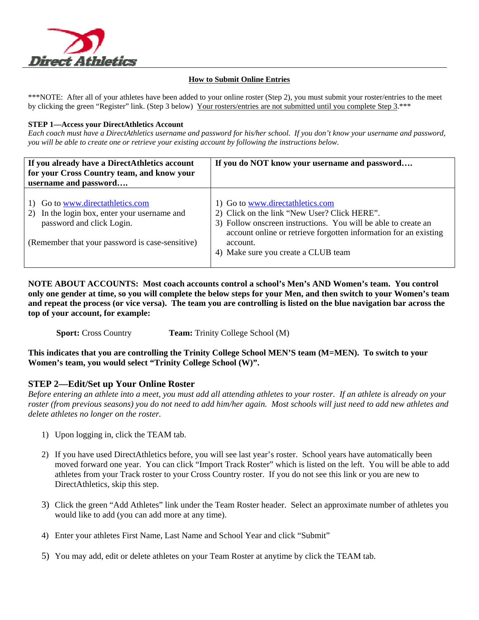

## **How to Submit Online Entries**

\*\*\*NOTE: After all of your athletes have been added to your online roster (Step 2), you must submit your roster/entries to the meet by clicking the green "Register" link. (Step 3 below) Your rosters/entries are not submitted until you complete Step 3.\*\*\*

## **STEP 1—Access your DirectAthletics Account**

*Each coach must have a DirectAthletics username and password for his/her school. If you don't know your username and password, you will be able to create one or retrieve your existing account by following the instructions below.* 

| If you already have a DirectAthletics account<br>for your Cross Country team, and know your                                                                      | If you do NOT know your username and password                                                                                                                                                                                                                             |
|------------------------------------------------------------------------------------------------------------------------------------------------------------------|---------------------------------------------------------------------------------------------------------------------------------------------------------------------------------------------------------------------------------------------------------------------------|
| username and password                                                                                                                                            |                                                                                                                                                                                                                                                                           |
| 1) Go to www.directathletics.com<br>2) In the login box, enter your username and<br>password and click Login.<br>(Remember that your password is case-sensitive) | 1) Go to www.directathletics.com<br>2) Click on the link "New User? Click HERE".<br>3) Follow onscreen instructions. You will be able to create an<br>account online or retrieve forgotten information for an existing<br>account.<br>4) Make sure you create a CLUB team |

**NOTE ABOUT ACCOUNTS: Most coach accounts control a school's Men's AND Women's team. You control only one gender at time, so you will complete the below steps for your Men, and then switch to your Women's team and repeat the process (or vice versa). The team you are controlling is listed on the blue navigation bar across the top of your account, for example:** 

**Sport:** Cross Country **Team:** Trinity College School (M)

**This indicates that you are controlling the Trinity College School MEN'S team (M=MEN). To switch to your Women's team, you would select "Trinity College School (W)".** 

## **STEP 2—Edit/Set up Your Online Roster**

*Before entering an athlete into a meet, you must add all attending athletes to your roster. If an athlete is already on your roster (from previous seasons) you do not need to add him/her again. Most schools will just need to add new athletes and delete athletes no longer on the roster.* 

- 1) Upon logging in, click the TEAM tab.
- 2) If you have used DirectAthletics before, you will see last year's roster. School years have automatically been moved forward one year. You can click "Import Track Roster" which is listed on the left. You will be able to add athletes from your Track roster to your Cross Country roster. If you do not see this link or you are new to DirectAthletics, skip this step.
- 3) Click the green "Add Athletes" link under the Team Roster header. Select an approximate number of athletes you would like to add (you can add more at any time).
- 4) Enter your athletes First Name, Last Name and School Year and click "Submit"
- 5) You may add, edit or delete athletes on your Team Roster at anytime by click the TEAM tab.